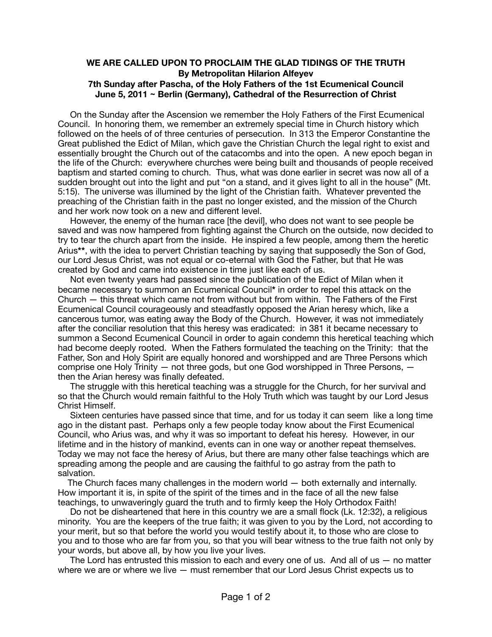## **WE ARE CALLED UPON TO PROCLAIM THE GLAD TIDINGS OF THE TRUTH By Metropolitan Hilarion Alfeyev 7th Sunday after Pascha, of the Holy Fathers of the 1st Ecumenical Council June 5, 2011 ~ Berlin (Germany), Cathedral of the Resurrection of Christ**

 On the Sunday after the Ascension we remember the Holy Fathers of the First Ecumenical Council. In honoring them, we remember an extremely special time in Church history which followed on the heels of of three centuries of persecution. In 313 the Emperor Constantine the Great published the Edict of Milan, which gave the Christian Church the legal right to exist and essentially brought the Church out of the catacombs and into the open. A new epoch began in the life of the Church: everywhere churches were being built and thousands of people received baptism and started coming to church. Thus, what was done earlier in secret was now all of a sudden brought out into the light and put "on a stand, and it gives light to all in the house" (Mt. 5:15). The universe was illumined by the light of the Christian faith. Whatever prevented the preaching of the Christian faith in the past no longer existed, and the mission of the Church and her work now took on a new and different level.

 However, the enemy of the human race [the devil], who does not want to see people be saved and was now hampered from fighting against the Church on the outside, now decided to try to tear the church apart from the inside. He inspired a few people, among them the heretic Arius**\*\***, with the idea to pervert Christian teaching by saying that supposedly the Son of God, our Lord Jesus Christ, was not equal or co-eternal with God the Father, but that He was created by God and came into existence in time just like each of us.

 Not even twenty years had passed since the publication of the Edict of Milan when it became necessary to summon an Ecumenical Council**\*** in order to repel this attack on the Church — this threat which came not from without but from within. The Fathers of the First Ecumenical Council courageously and steadfastly opposed the Arian heresy which, like a cancerous tumor, was eating away the Body of the Church. However, it was not immediately after the conciliar resolution that this heresy was eradicated: in 381 it became necessary to summon a Second Ecumenical Council in order to again condemn this heretical teaching which had become deeply rooted. When the Fathers formulated the teaching on the Trinity: that the Father, Son and Holy Spirit are equally honored and worshipped and are Three Persons which comprise one Holy Trinity  $-$  not three gods, but one God worshipped in Three Persons,  $$ then the Arian heresy was finally defeated.

 The struggle with this heretical teaching was a struggle for the Church, for her survival and so that the Church would remain faithful to the Holy Truth which was taught by our Lord Jesus Christ Himself.

 Sixteen centuries have passed since that time, and for us today it can seem like a long time ago in the distant past. Perhaps only a few people today know about the First Ecumenical Council, who Arius was, and why it was so important to defeat his heresy. However, in our lifetime and in the history of mankind, events can in one way or another repeat themselves. Today we may not face the heresy of Arius, but there are many other false teachings which are spreading among the people and are causing the faithful to go astray from the path to salvation.

 The Church faces many challenges in the modern world — both externally and internally. How important it is, in spite of the spirit of the times and in the face of all the new false teachings, to unwaveringly guard the truth and to firmly keep the Holy Orthodox Faith!

 Do not be disheartened that here in this country we are a small flock (Lk. 12:32), a religious minority. You are the keepers of the true faith; it was given to you by the Lord, not according to your merit, but so that before the world you would testify about it, to those who are close to you and to those who are far from you, so that you will bear witness to the true faith not only by your words, but above all, by how you live your lives.

 The Lord has entrusted this mission to each and every one of us. And all of us — no matter where we are or where we live  $-$  must remember that our Lord Jesus Christ expects us to